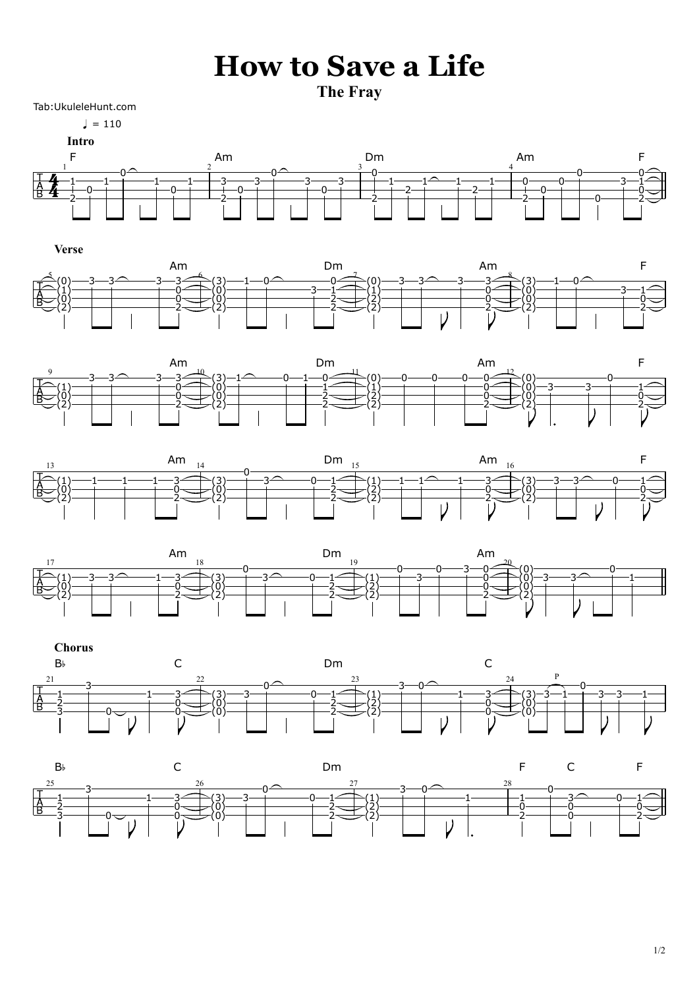## **How to Save a Life**

**The Fray**

Tab:UkuleleHunt.com

 $= 110$ 





**Verse**